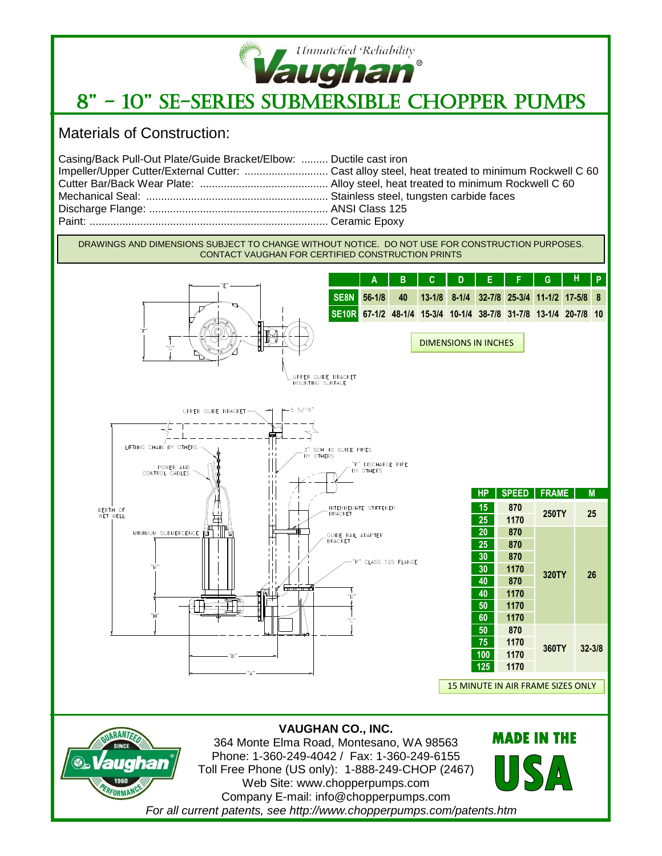

## 8" - 10" SE-Series Submersible Chopper Pumps

Materials of Construction:

| Casing/Back Pull-Out Plate/Guide Bracket/Elbow:  Ductile cast iron |  |
|--------------------------------------------------------------------|--|
|                                                                    |  |
|                                                                    |  |
|                                                                    |  |
|                                                                    |  |
|                                                                    |  |
|                                                                    |  |

DRAWINGS AND DIMENSIONS SUBJECT TO CHANGE WITHOUT NOTICE. DO NOT USE FOR CONSTRUCTION PURPOSES. CONTACT VAUGHAN FOR CERTIFIED CONSTRUCTION PRINTS





**VAUGHAN CO., INC.** 364 Monte Elma Road, Montesano, WA 98563 Phone: 1-360-249-4042 / Fax: 1-360-249-6155 Toll Free Phone (US only): 1-888-249-CHOP (2467) Web Site: www.chopperpumps.com Company E-mail: info@chopperpumps.com *For all current patents, see http://www.chopperpumps.com/patents.htm* **MADE IN THE**